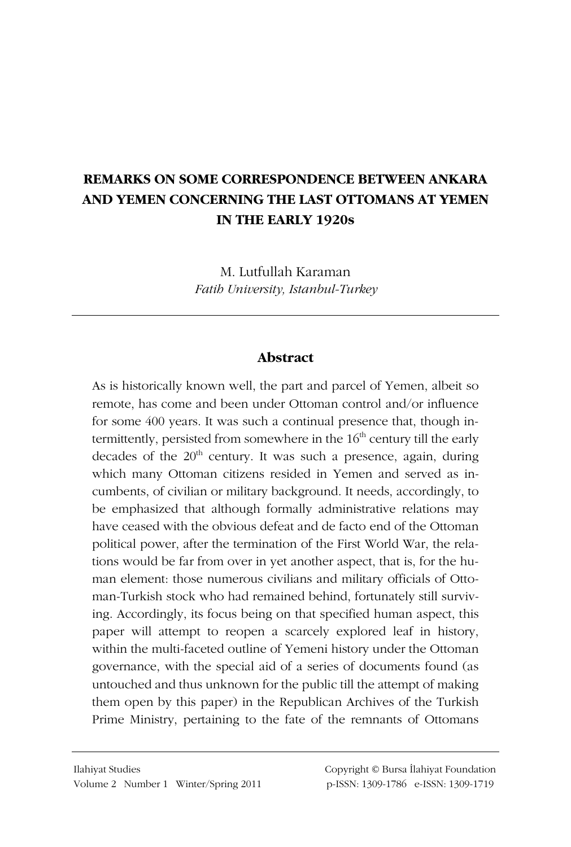# **REMARKS ON SOME CORRESPONDENCE BETWEEN ANKARA** AND YEMEN CONCERNING THE LAST OTTOMANS AT YEMEN IN THE EARLY 1920s

M. Lutfullah Karaman Fatib University, Istanbul-Turkey

## **Abstract**

As is historically known well, the part and parcel of Yemen, albeit so remote, has come and been under Ottoman control and/or influence for some 400 years. It was such a continual presence that, though intermittently, persisted from somewhere in the  $16<sup>th</sup>$  century till the early decades of the  $20<sup>th</sup>$  century. It was such a presence, again, during which many Ottoman citizens resided in Yemen and served as incumbents, of civilian or military background. It needs, accordingly, to be emphasized that although formally administrative relations may have ceased with the obvious defeat and de facto end of the Ottoman political power, after the termination of the First World War, the relations would be far from over in yet another aspect, that is, for the human element: those numerous civilians and military officials of Ottoman-Turkish stock who had remained behind, fortunately still surviving. Accordingly, its focus being on that specified human aspect, this paper will attempt to reopen a scarcely explored leaf in history, within the multi-faceted outline of Yemeni history under the Ottoman governance, with the special aid of a series of documents found (as untouched and thus unknown for the public till the attempt of making them open by this paper) in the Republican Archives of the Turkish Prime Ministry, pertaining to the fate of the remnants of Ottomans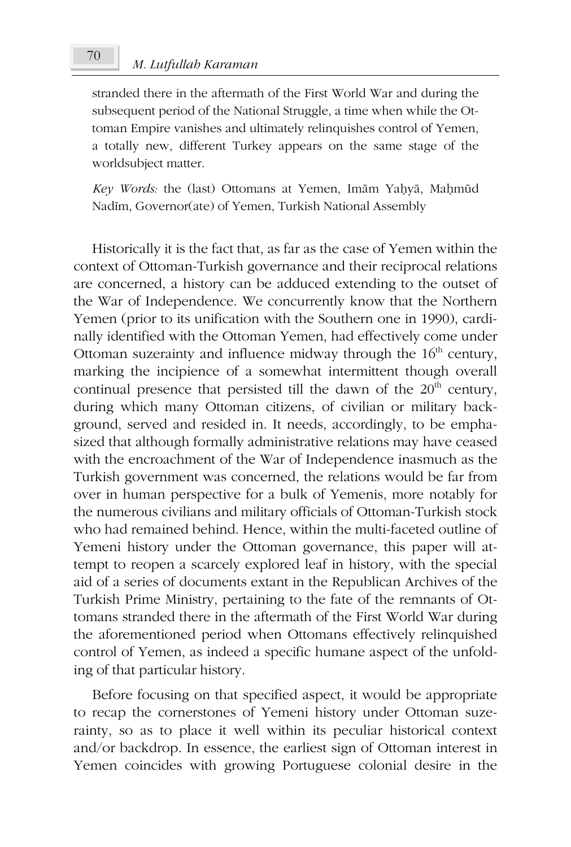#### M. Lutfullah Karaman

70

stranded there in the aftermath of the First World War and during the subsequent period of the National Struggle, a time when while the Ottoman Empire vanishes and ultimately relinquishes control of Yemen, a totally new, different Turkey appears on the same stage of the worldsubject matter.

Key Words: the (last) Ottomans at Yemen, Imām Yaḥyā, Maḥmūd Nadīm, Governor(ate) of Yemen, Turkish National Assembly

Historically it is the fact that, as far as the case of Yemen within the context of Ottoman-Turkish governance and their reciprocal relations are concerned, a history can be adduced extending to the outset of the War of Independence. We concurrently know that the Northern Yemen (prior to its unification with the Southern one in 1990), cardinally identified with the Ottoman Yemen, had effectively come under Ottoman suzerainty and influence midway through the  $16<sup>th</sup>$  century, marking the incipience of a somewhat intermittent though overall continual presence that persisted till the dawn of the 20<sup>th</sup> century, during which many Ottoman citizens, of civilian or military background, served and resided in. It needs, accordingly, to be emphasized that although formally administrative relations may have ceased with the encroachment of the War of Independence inasmuch as the Turkish government was concerned, the relations would be far from over in human perspective for a bulk of Yemenis, more notably for the numerous civilians and military officials of Ottoman-Turkish stock who had remained behind. Hence, within the multi-faceted outline of Yemeni history under the Ottoman governance, this paper will attempt to reopen a scarcely explored leaf in history, with the special aid of a series of documents extant in the Republican Archives of the Turkish Prime Ministry, pertaining to the fate of the remnants of Ottomans stranded there in the aftermath of the First World War during the aforementioned period when Ottomans effectively relinquished control of Yemen, as indeed a specific humane aspect of the unfolding of that particular history.

Before focusing on that specified aspect, it would be appropriate to recap the cornerstones of Yemeni history under Ottoman suzerainty, so as to place it well within its peculiar historical context and/or backdrop. In essence, the earliest sign of Ottoman interest in Yemen coincides with growing Portuguese colonial desire in the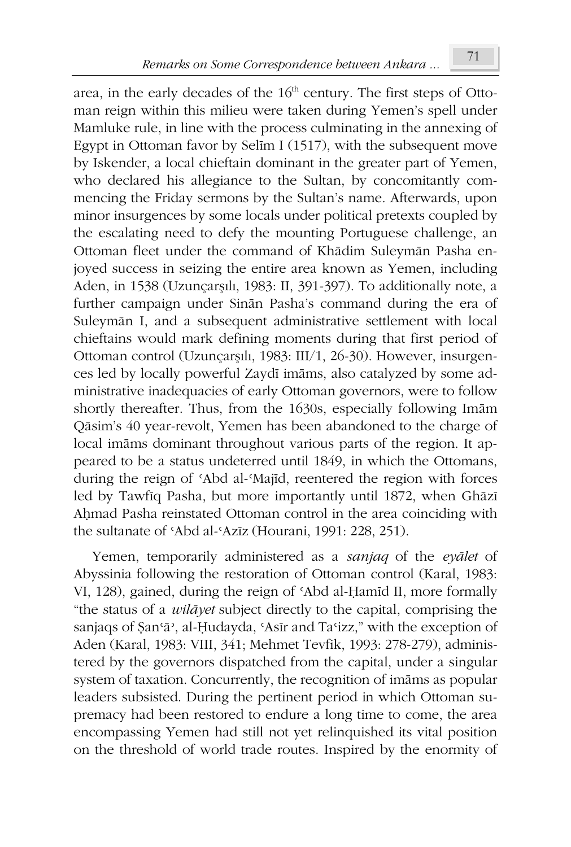area, in the early decades of the  $16<sup>th</sup>$  century. The first steps of Ottoman reign within this milieu were taken during Yemen's spell under Mamluke rule, in line with the process culminating in the annexing of Egypt in Ottoman favor by Selim I (1517), with the subsequent move by Iskender, a local chieftain dominant in the greater part of Yemen, who declared his allegiance to the Sultan, by concomitantly commencing the Friday sermons by the Sultan's name. Afterwards, upon minor insurgences by some locals under political pretexts coupled by the escalating need to defy the mounting Portuguese challenge, an Ottoman fleet under the command of Khādim Suleymān Pasha enjoyed success in seizing the entire area known as Yemen, including Aden, in 1538 (Uzunçarşılı, 1983: II, 391-397). To additionally note, a further campaign under Sinān Pasha's command during the era of Suleymān I, and a subsequent administrative settlement with local chieftains would mark defining moments during that first period of Ottoman control (Uzunçarşılı, 1983: III/1, 26-30). However, insurgences led by locally powerful Zaydī imāms, also catalyzed by some administrative inadequacies of early Ottoman governors, were to follow shortly thereafter. Thus, from the 1630s, especially following Imam Qāsim's 40 year-revolt, Yemen has been abandoned to the charge of local imāms dominant throughout various parts of the region. It appeared to be a status undeterred until 1849, in which the Ottomans, during the reign of 'Abd al-'Majīd, reentered the region with forces led by Tawfiq Pasha, but more importantly until 1872, when Ghāzī Ahmad Pasha reinstated Ottoman control in the area coinciding with the sultanate of 'Abd al-'Azīz (Hourani, 1991: 228, 251).

Yemen, temporarily administered as a sanjag of the eyalet of Abyssinia following the restoration of Ottoman control (Karal, 1983: VI, 128), gained, during the reign of 'Abd al-Hamid II, more formally "the status of a *wilayet* subject directly to the capital, comprising the sanjaqs of Şan'ā<sup>2</sup>, al-Ḥudayda, 'Asīr and Ta'izz," with the exception of Aden (Karal, 1983: VIII, 341; Mehmet Tevfik, 1993: 278-279), administered by the governors dispatched from the capital, under a singular system of taxation. Concurrently, the recognition of imams as popular leaders subsisted. During the pertinent period in which Ottoman supremacy had been restored to endure a long time to come, the area encompassing Yemen had still not yet relinquished its vital position on the threshold of world trade routes. Inspired by the enormity of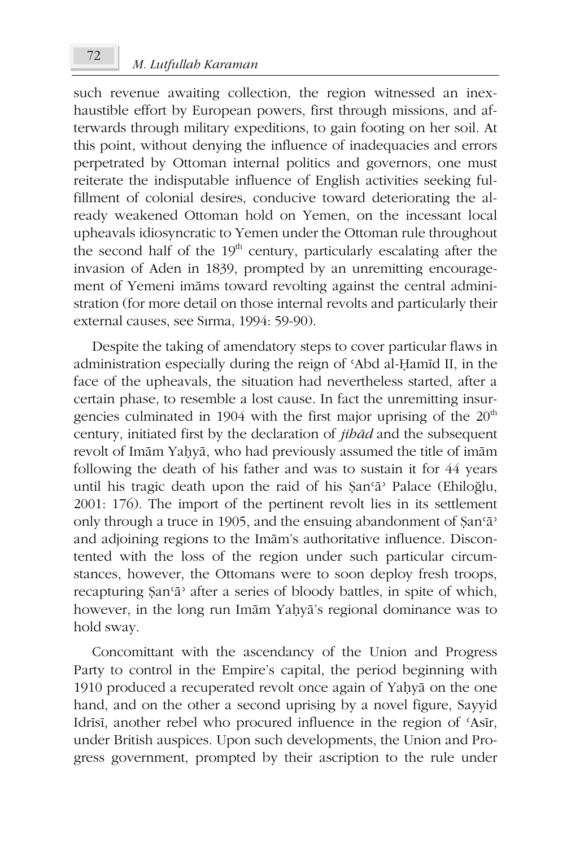such revenue awaiting collection, the region witnessed an inexhaustible effort by European powers, first through missions, and afterwards through military expeditions, to gain footing on her soil. At this point, without denying the influence of inadequacies and errors perpetrated by Ottoman internal politics and governors, one must reiterate the indisputable influence of English activities seeking fulfillment of colonial desires, conducive toward deteriorating the already weakened Ottoman hold on Yemen, on the incessant local upheavals idiosyncratic to Yemen under the Ottoman rule throughout the second half of the 19<sup>th</sup> century, particularly escalating after the invasion of Aden in 1839, prompted by an unremitting encouragement of Yemeni imams toward revolting against the central administration (for more detail on those internal revolts and particularly their external causes, see Sirma, 1994: 59-90).

Despite the taking of amendatory steps to cover particular flaws in administration especially during the reign of 'Abd al-Hamid II, in the face of the upheavals, the situation had nevertheless started, after a certain phase, to resemble a lost cause. In fact the unremitting insurgencies culminated in 1904 with the first major uprising of the  $20<sup>th</sup>$ century, initiated first by the declaration of jibad and the subsequent revolt of Imām Yaḥyā, who had previously assumed the title of imām following the death of his father and was to sustain it for 44 years until his tragic death upon the raid of his Şan'a' Palace (Ehiloğlu, 2001: 176). The import of the pertinent revolt lies in its settlement only through a truce in 1905, and the ensuing abandonment of San'a' and adjoining regions to the Imam's authoritative influence. Discontented with the loss of the region under such particular circumstances, however, the Ottomans were to soon deploy fresh troops, recapturing San'a' after a series of bloody battles, in spite of which, however, in the long run Imām Yaḥyā's regional dominance was to hold sway.

Concomittant with the ascendancy of the Union and Progress Party to control in the Empire's capital, the period beginning with 1910 produced a recuperated revolt once again of Yaḥyā on the one hand, and on the other a second uprising by a novel figure, Sayyid Idrīsī, another rebel who procured influence in the region of 'Asīr, under British auspices. Upon such developments, the Union and Progress government, prompted by their ascription to the rule under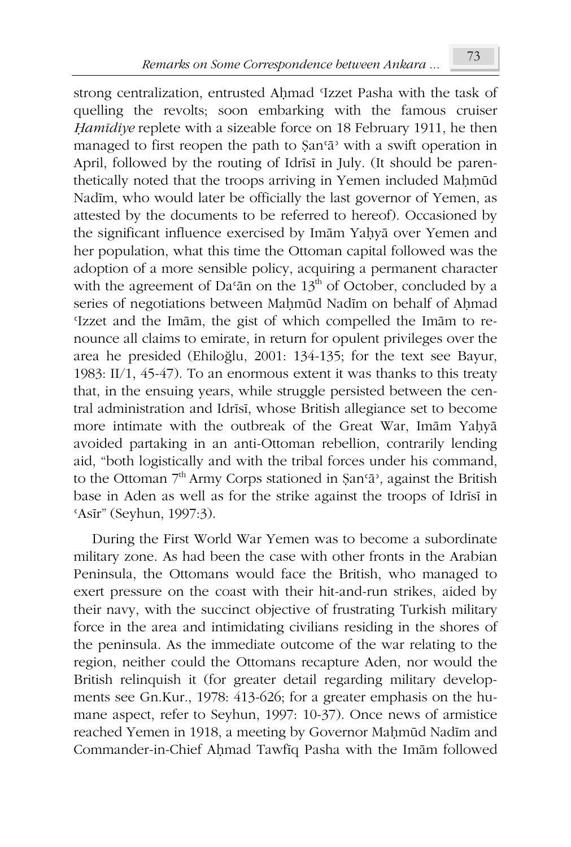strong centralization, entrusted Ahmad 'Izzet Pasha with the task of quelling the revolts; soon embarking with the famous cruiser Hamīdiye replete with a sizeable force on 18 February 1911, he then managed to first reopen the path to  $\sin^2$  with a swift operation in April, followed by the routing of Idrīsī in July. (It should be parenthetically noted that the troops arriving in Yemen included Mahmūd Nadim, who would later be officially the last governor of Yemen, as attested by the documents to be referred to hereof). Occasioned by the significant influence exercised by Imām Yahyā over Yemen and her population, what this time the Ottoman capital followed was the adoption of a more sensible policy, acquiring a permanent character with the agreement of Da'an on the  $13<sup>th</sup>$  of October, concluded by a series of negotiations between Mahmud Nadim on behalf of Ahmad 'Izzet and the Imām, the gist of which compelled the Imām to renounce all claims to emirate, in return for opulent privileges over the area he presided (Ehiloğlu, 2001: 134-135; for the text see Bayur, 1983:  $II/1$ , 45-47). To an enormous extent it was thanks to this treaty that, in the ensuing years, while struggle persisted between the central administration and Idrīsī, whose British allegiance set to become more intimate with the outbreak of the Great War, Imām Yaḥyā avoided partaking in an anti-Ottoman rebellion, contrarily lending aid, "both logistically and with the tribal forces under his command, to the Ottoman 7<sup>th</sup> Army Corps stationed in *San'a*<sup>2</sup>, against the British base in Aden as well as for the strike against the troops of Idrīsī in 'Asir" (Seyhun, 1997:3).

During the First World War Yemen was to become a subordinate military zone. As had been the case with other fronts in the Arabian Peninsula, the Ottomans would face the British, who managed to exert pressure on the coast with their hit-and-run strikes, aided by their navy, with the succinct objective of frustrating Turkish military force in the area and intimidating civilians residing in the shores of the peninsula. As the immediate outcome of the war relating to the region, neither could the Ottomans recapture Aden, nor would the British relinquish it (for greater detail regarding military developments see Gn.Kur., 1978: 413-626; for a greater emphasis on the humane aspect, refer to Seyhun, 1997: 10-37). Once news of armistice reached Yemen in 1918, a meeting by Governor Maḥmūd Nadīm and Commander-in-Chief Ahmad Tawfiq Pasha with the Imām followed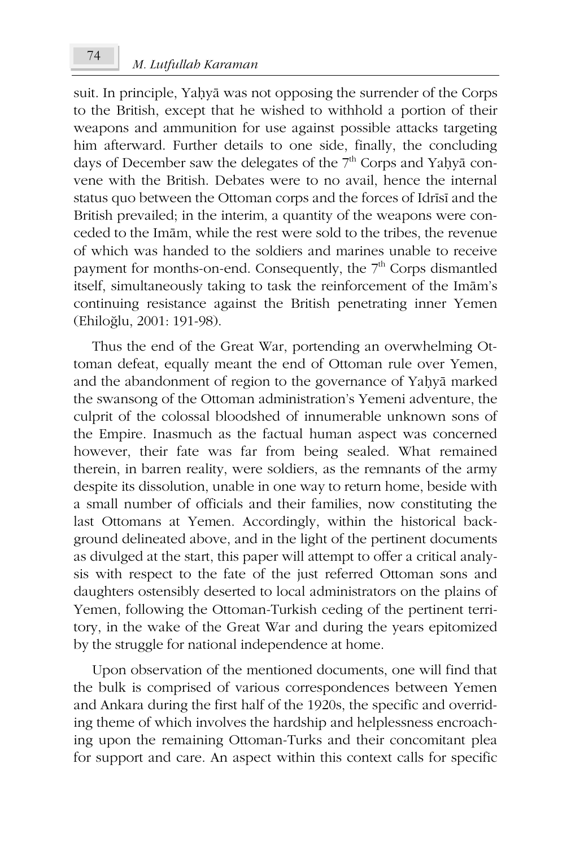suit. In principle, Yahyā was not opposing the surrender of the Corps to the British, except that he wished to withhold a portion of their weapons and ammunition for use against possible attacks targeting him afterward. Further details to one side, finally, the concluding days of December saw the delegates of the  $7<sup>th</sup>$  Corps and Yahyā convene with the British. Debates were to no avail, hence the internal status quo between the Ottoman corps and the forces of Idrīsī and the British prevailed; in the interim, a quantity of the weapons were conceded to the Imam, while the rest were sold to the tribes, the revenue of which was handed to the soldiers and marines unable to receive payment for months-on-end. Consequently, the 7<sup>th</sup> Corps dismantled itself, simultaneously taking to task the reinforcement of the Imam's continuing resistance against the British penetrating inner Yemen (Ehiloğlu, 2001: 191-98).

Thus the end of the Great War, portending an overwhelming Ottoman defeat, equally meant the end of Ottoman rule over Yemen, and the abandonment of region to the governance of Yahyā marked the swansong of the Ottoman administration's Yemeni adventure, the culprit of the colossal bloodshed of innumerable unknown sons of the Empire. Inasmuch as the factual human aspect was concerned however, their fate was far from being sealed. What remained therein, in barren reality, were soldiers, as the remnants of the army despite its dissolution, unable in one way to return home, beside with a small number of officials and their families, now constituting the last Ottomans at Yemen. Accordingly, within the historical background delineated above, and in the light of the pertinent documents as divulged at the start, this paper will attempt to offer a critical analysis with respect to the fate of the just referred Ottoman sons and daughters ostensibly deserted to local administrators on the plains of Yemen, following the Ottoman-Turkish ceding of the pertinent territory, in the wake of the Great War and during the years epitomized by the struggle for national independence at home.

Upon observation of the mentioned documents, one will find that the bulk is comprised of various correspondences between Yemen and Ankara during the first half of the 1920s, the specific and overriding theme of which involves the hardship and helplessness encroaching upon the remaining Ottoman-Turks and their concomitant plea for support and care. An aspect within this context calls for specific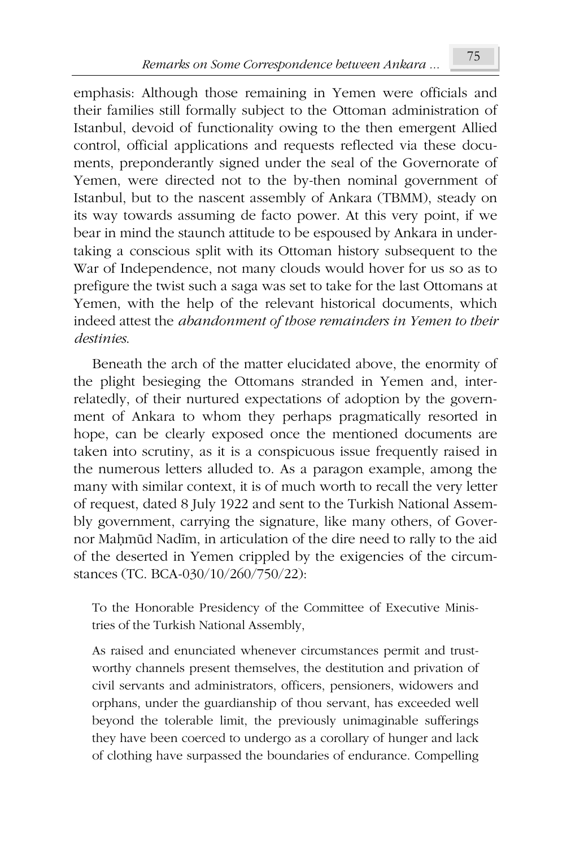emphasis: Although those remaining in Yemen were officials and their families still formally subject to the Ottoman administration of Istanbul, devoid of functionality owing to the then emergent Allied control, official applications and requests reflected via these documents, preponderantly signed under the seal of the Governorate of Yemen, were directed not to the by-then nominal government of Istanbul, but to the nascent assembly of Ankara (TBMM), steady on its way towards assuming de facto power. At this very point, if we bear in mind the staunch attitude to be espoused by Ankara in undertaking a conscious split with its Ottoman history subsequent to the War of Independence, not many clouds would hover for us so as to prefigure the twist such a saga was set to take for the last Ottomans at Yemen, with the help of the relevant historical documents, which indeed attest the abandonment of those remainders in Yemen to their destinies

Beneath the arch of the matter elucidated above, the enormity of the plight besieging the Ottomans stranded in Yemen and, interrelatedly, of their nurtured expectations of adoption by the government of Ankara to whom they perhaps pragmatically resorted in hope, can be clearly exposed once the mentioned documents are taken into scrutiny, as it is a conspicuous issue frequently raised in the numerous letters alluded to. As a paragon example, among the many with similar context, it is of much worth to recall the very letter of request, dated 8 July 1922 and sent to the Turkish National Assembly government, carrying the signature, like many others, of Governor Mahmūd Nadīm, in articulation of the dire need to rally to the aid of the deserted in Yemen crippled by the exigencies of the circumstances (TC. BCA-030/10/260/750/22):

To the Honorable Presidency of the Committee of Executive Ministries of the Turkish National Assembly,

As raised and enunciated whenever circumstances permit and trustworthy channels present themselves, the destitution and privation of civil servants and administrators, officers, pensioners, widowers and orphans, under the guardianship of thou servant, has exceeded well beyond the tolerable limit, the previously unimaginable sufferings they have been coerced to undergo as a corollary of hunger and lack of clothing have surpassed the boundaries of endurance. Compelling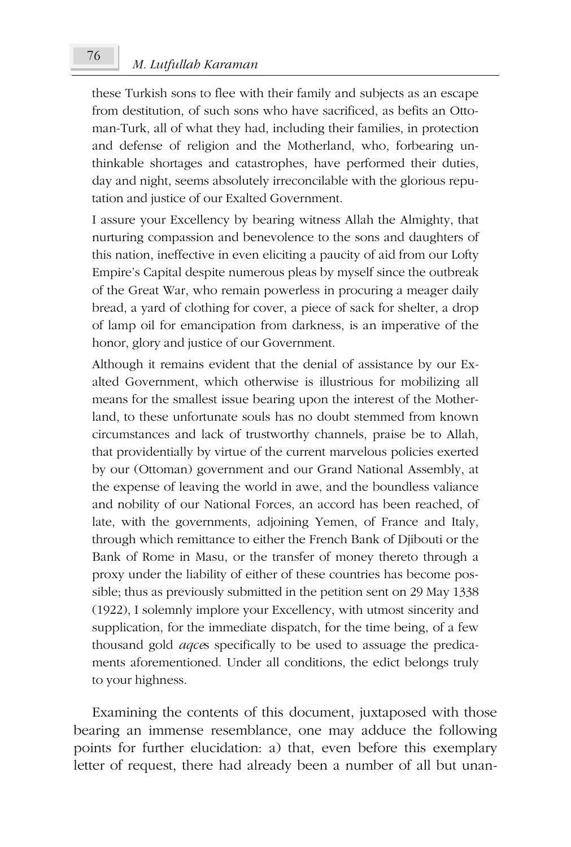#### M. Lutfullah Karaman

these Turkish sons to flee with their family and subjects as an escape from destitution, of such sons who have sacrificed, as befits an Ottoman-Turk, all of what they had, including their families, in protection and defense of religion and the Motherland, who, forbearing unthinkable shortages and catastrophes, have performed their duties, day and night, seems absolutely irreconcilable with the glorious reputation and justice of our Exalted Government.

I assure your Excellency by bearing witness Allah the Almighty, that nurturing compassion and benevolence to the sons and daughters of this nation, ineffective in even eliciting a paucity of aid from our Lofty Empire's Capital despite numerous pleas by myself since the outbreak of the Great War, who remain powerless in procuring a meager daily bread, a yard of clothing for cover, a piece of sack for shelter, a drop of lamp oil for emancipation from darkness, is an imperative of the honor, glory and justice of our Government.

Although it remains evident that the denial of assistance by our Exalted Government, which otherwise is illustrious for mobilizing all means for the smallest issue bearing upon the interest of the Motherland, to these unfortunate souls has no doubt stemmed from known circumstances and lack of trustworthy channels, praise be to Allah, that providentially by virtue of the current marvelous policies exerted by our (Ottoman) government and our Grand National Assembly, at the expense of leaving the world in awe, and the boundless valiance and nobility of our National Forces, an accord has been reached, of late, with the governments, adjoining Yemen, of France and Italy, through which remittance to either the French Bank of Djibouti or the Bank of Rome in Masu, or the transfer of money thereto through a proxy under the liability of either of these countries has become possible; thus as previously submitted in the petition sent on 29 May 1338 (1922), I solemnly implore your Excellency, with utmost sincerity and supplication, for the immediate dispatch, for the time being, of a few thousand gold *aqces* specifically to be used to assuage the predicaments aforementioned. Under all conditions, the edict belongs truly to your highness.

Examining the contents of this document, juxtaposed with those bearing an immense resemblance, one may adduce the following points for further elucidation: a) that, even before this exemplary letter of request, there had already been a number of all but unan-

76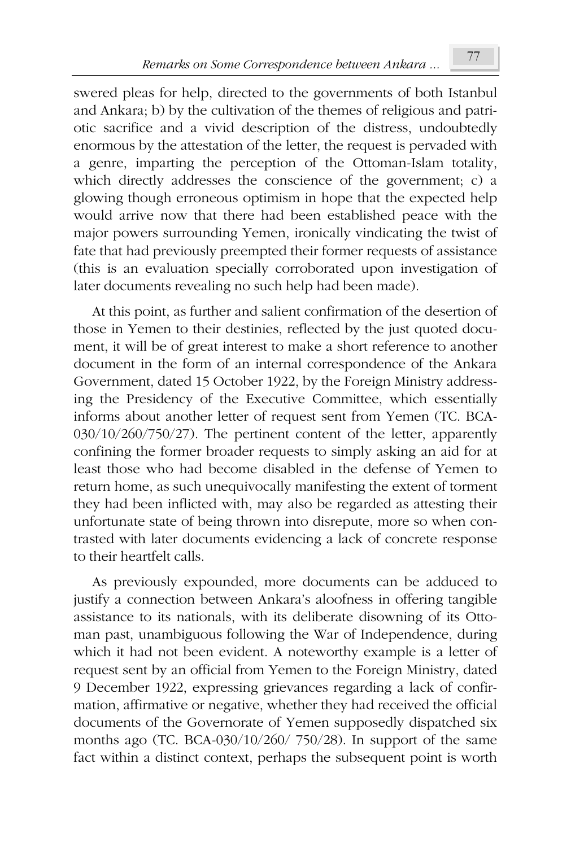swered pleas for help, directed to the governments of both Istanbul and Ankara; b) by the cultivation of the themes of religious and patriotic sacrifice and a vivid description of the distress, undoubtedly enormous by the attestation of the letter, the request is pervaded with a genre, imparting the perception of the Ottoman-Islam totality, which directly addresses the conscience of the government; c) a glowing though erroneous optimism in hope that the expected help would arrive now that there had been established peace with the major powers surrounding Yemen, ironically vindicating the twist of fate that had previously preempted their former requests of assistance (this is an evaluation specially corroborated upon investigation of later documents revealing no such help had been made).

At this point, as further and salient confirmation of the desertion of those in Yemen to their destinies, reflected by the just quoted document, it will be of great interest to make a short reference to another document in the form of an internal correspondence of the Ankara Government, dated 15 October 1922, by the Foreign Ministry addressing the Presidency of the Executive Committee, which essentially informs about another letter of request sent from Yemen (TC. BCA- $030/10/260/750/27$ ). The pertinent content of the letter, apparently confining the former broader requests to simply asking an aid for at least those who had become disabled in the defense of Yemen to return home, as such unequivocally manifesting the extent of torment they had been inflicted with, may also be regarded as attesting their unfortunate state of being thrown into disrepute, more so when contrasted with later documents evidencing a lack of concrete response to their heartfelt calls.

As previously expounded, more documents can be adduced to justify a connection between Ankara's aloofness in offering tangible assistance to its nationals, with its deliberate disowning of its Ottoman past, unambiguous following the War of Independence, during which it had not been evident. A noteworthy example is a letter of request sent by an official from Yemen to the Foreign Ministry, dated 9 December 1922, expressing grievances regarding a lack of confirmation, affirmative or negative, whether they had received the official documents of the Governorate of Yemen supposedly dispatched six months ago (TC. BCA-030/10/260/ 750/28). In support of the same fact within a distinct context, perhaps the subsequent point is worth

77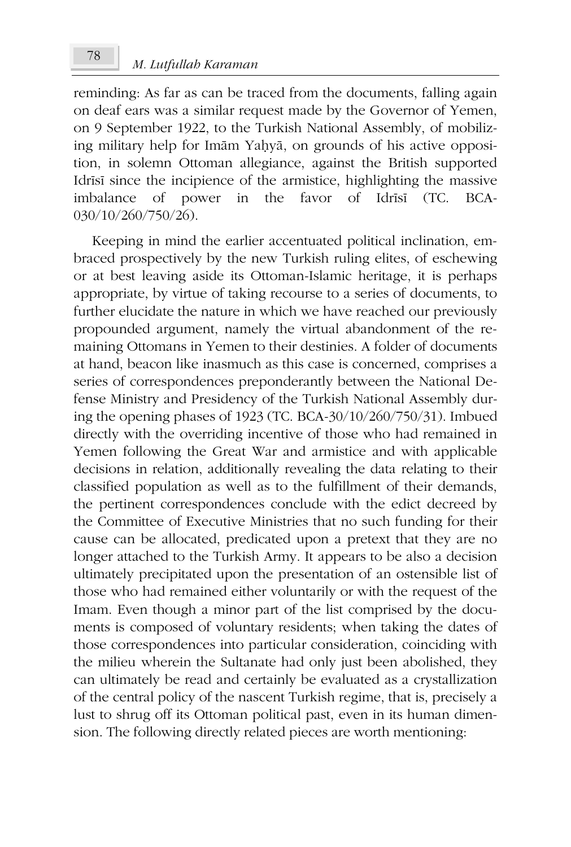reminding: As far as can be traced from the documents, falling again on deaf ears was a similar request made by the Governor of Yemen, on 9 September 1922, to the Turkish National Assembly, of mobilizing military help for Imām Yaḥyā, on grounds of his active opposition, in solemn Ottoman allegiance, against the British supported Idrīsī since the incipience of the armistice, highlighting the massive imbalance <sub>of</sub> power  $in$ the favor of Idrīsī  $CTC$ . BCA- $030/10/260/750/26$ .

Keeping in mind the earlier accentuated political inclination, embraced prospectively by the new Turkish ruling elites, of eschewing or at best leaving aside its Ottoman-Islamic heritage, it is perhaps appropriate, by virtue of taking recourse to a series of documents, to further elucidate the nature in which we have reached our previously propounded argument, namely the virtual abandonment of the remaining Ottomans in Yemen to their destinies. A folder of documents at hand, beacon like inasmuch as this case is concerned, comprises a series of correspondences preponderantly between the National Defense Ministry and Presidency of the Turkish National Assembly during the opening phases of 1923 (TC. BCA-30/10/260/750/31). Imbued directly with the overriding incentive of those who had remained in Yemen following the Great War and armistice and with applicable decisions in relation, additionally revealing the data relating to their classified population as well as to the fulfillment of their demands, the pertinent correspondences conclude with the edict decreed by the Committee of Executive Ministries that no such funding for their cause can be allocated, predicated upon a pretext that they are no longer attached to the Turkish Army. It appears to be also a decision ultimately precipitated upon the presentation of an ostensible list of those who had remained either voluntarily or with the request of the Imam. Even though a minor part of the list comprised by the documents is composed of voluntary residents; when taking the dates of those correspondences into particular consideration, coinciding with the milieu wherein the Sultanate had only just been abolished, they can ultimately be read and certainly be evaluated as a crystallization of the central policy of the nascent Turkish regime, that is, precisely a lust to shrug off its Ottoman political past, even in its human dimension. The following directly related pieces are worth mentioning: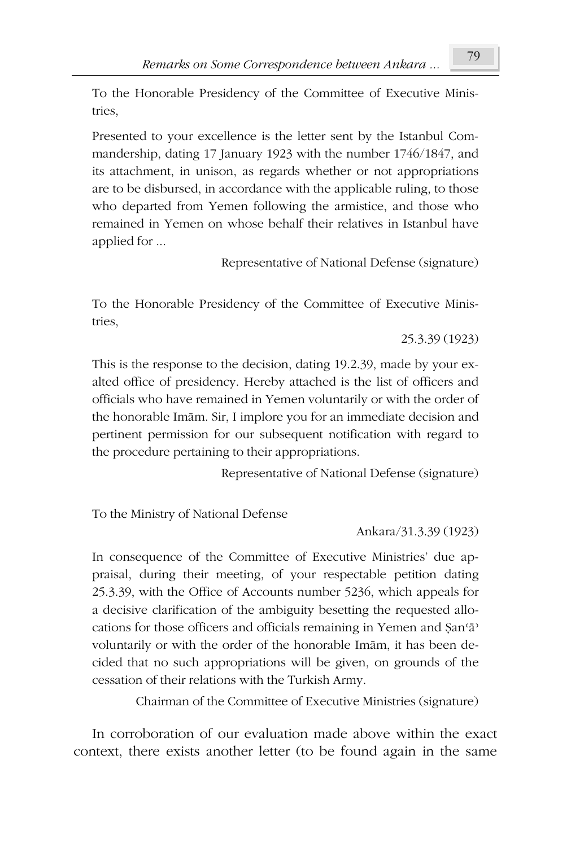To the Honorable Presidency of the Committee of Executive Ministries.

Presented to your excellence is the letter sent by the Istanbul Commandership, dating 17 January 1923 with the number 1746/1847, and its attachment, in unison, as regards whether or not appropriations are to be disbursed, in accordance with the applicable ruling, to those who departed from Yemen following the armistice, and those who remained in Yemen on whose behalf their relatives in Istanbul have applied for ...

Representative of National Defense (signature)

To the Honorable Presidency of the Committee of Executive Ministries.

25.3.39 (1923)

This is the response to the decision, dating 19.2.39, made by your exalted office of presidency. Hereby attached is the list of officers and officials who have remained in Yemen voluntarily or with the order of the honorable Imām. Sir, I implore you for an immediate decision and pertinent permission for our subsequent notification with regard to the procedure pertaining to their appropriations.

Representative of National Defense (signature)

To the Ministry of National Defense

Ankara/31.3.39 (1923)

In consequence of the Committee of Executive Ministries' due appraisal, during their meeting, of your respectable petition dating 25.3.39, with the Office of Accounts number 5236, which appeals for a decisive clarification of the ambiguity besetting the requested allocations for those officers and officials remaining in Yemen and San'a voluntarily or with the order of the honorable Imam, it has been decided that no such appropriations will be given, on grounds of the cessation of their relations with the Turkish Army.

Chairman of the Committee of Executive Ministries (signature)

In corroboration of our evaluation made above within the exact context, there exists another letter (to be found again in the same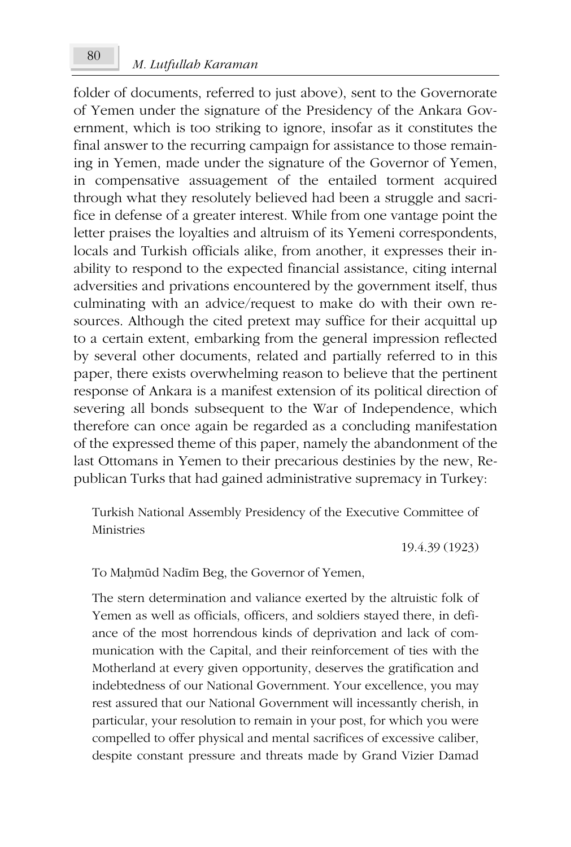folder of documents, referred to just above), sent to the Governorate of Yemen under the signature of the Presidency of the Ankara Government, which is too striking to ignore, insofar as it constitutes the final answer to the recurring campaign for assistance to those remaining in Yemen, made under the signature of the Governor of Yemen, in compensative assuagement of the entailed torment acquired through what they resolutely believed had been a struggle and sacrifice in defense of a greater interest. While from one vantage point the letter praises the loyalties and altruism of its Yemeni correspondents, locals and Turkish officials alike, from another, it expresses their inability to respond to the expected financial assistance, citing internal adversities and privations encountered by the government itself, thus culminating with an advice/request to make do with their own resources. Although the cited pretext may suffice for their acquittal up to a certain extent, embarking from the general impression reflected by several other documents, related and partially referred to in this paper, there exists overwhelming reason to believe that the pertinent response of Ankara is a manifest extension of its political direction of severing all bonds subsequent to the War of Independence, which therefore can once again be regarded as a concluding manifestation of the expressed theme of this paper, namely the abandonment of the last Ottomans in Yemen to their precarious destinies by the new, Republican Turks that had gained administrative supremacy in Turkey:

Turkish National Assembly Presidency of the Executive Committee of Ministries

19.4.39 (1923)

To Mahmūd Nadīm Beg, the Governor of Yemen,

The stern determination and valiance exerted by the altruistic folk of Yemen as well as officials, officers, and soldiers stayed there, in defiance of the most horrendous kinds of deprivation and lack of communication with the Capital, and their reinforcement of ties with the Motherland at every given opportunity, deserves the gratification and indebtedness of our National Government. Your excellence, you may rest assured that our National Government will incessantly cherish, in particular, your resolution to remain in your post, for which you were compelled to offer physical and mental sacrifices of excessive caliber, despite constant pressure and threats made by Grand Vizier Damad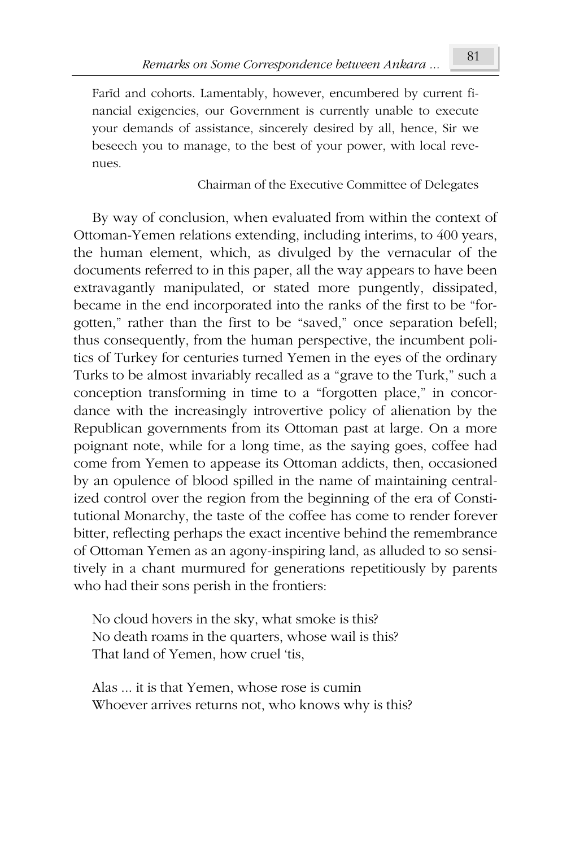Farid and cohorts. Lamentably, however, encumbered by current financial exigencies, our Government is currently unable to execute your demands of assistance, sincerely desired by all, hence, Sir we beseech you to manage, to the best of your power, with local revenues.

### Chairman of the Executive Committee of Delegates

By way of conclusion, when evaluated from within the context of Ottoman-Yemen relations extending, including interims, to 400 years, the human element, which, as divulged by the vernacular of the documents referred to in this paper, all the way appears to have been extravagantly manipulated, or stated more pungently, dissipated, became in the end incorporated into the ranks of the first to be "forgotten," rather than the first to be "saved," once separation befell; thus consequently, from the human perspective, the incumbent politics of Turkey for centuries turned Yemen in the eyes of the ordinary Turks to be almost invariably recalled as a "grave to the Turk," such a conception transforming in time to a "forgotten place," in concordance with the increasingly introvertive policy of alienation by the Republican governments from its Ottoman past at large. On a more poignant note, while for a long time, as the saying goes, coffee had come from Yemen to appease its Ottoman addicts, then, occasioned by an opulence of blood spilled in the name of maintaining centralized control over the region from the beginning of the era of Constitutional Monarchy, the taste of the coffee has come to render forever bitter, reflecting perhaps the exact incentive behind the remembrance of Ottoman Yemen as an agony-inspiring land, as alluded to so sensitively in a chant murmured for generations repetitiously by parents who had their sons perish in the frontiers:

No cloud hovers in the sky, what smoke is this? No death roams in the quarters, whose wail is this? That land of Yemen, how cruel 'tis,

Alas ... it is that Yemen, whose rose is cumin Whoever arrives returns not, who knows why is this?